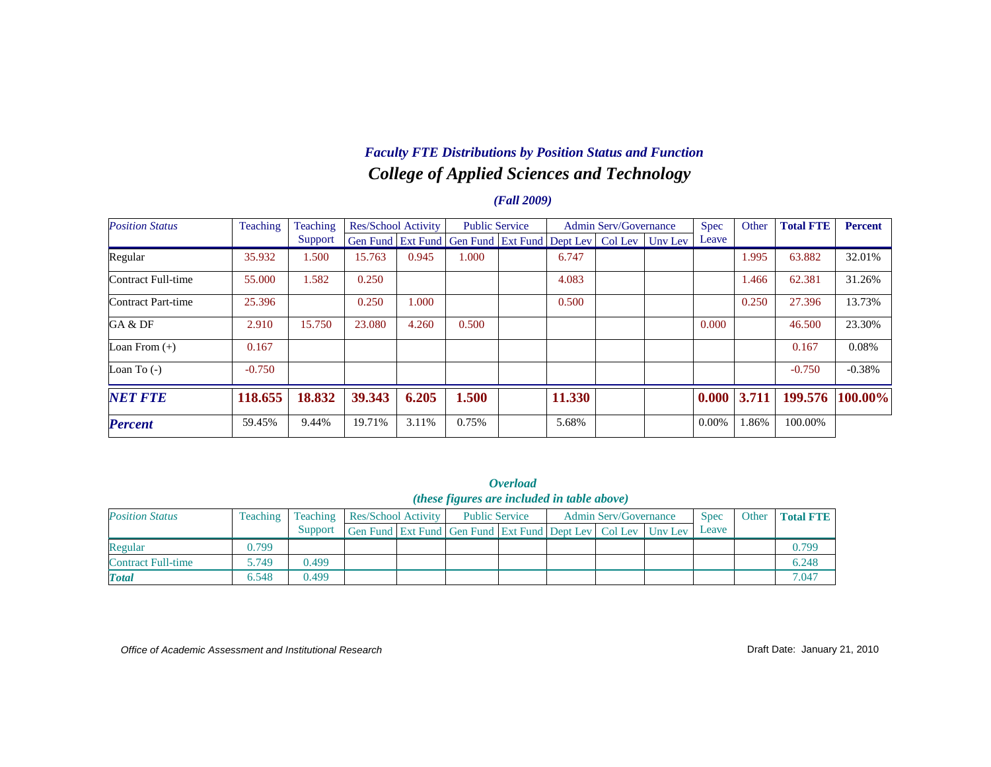# *College of Applied Sciences and Technology Faculty FTE Distributions by Position Status and Function*

### *(Fall 2009)*

| <b>Position Status</b> | Teaching | Teaching |        | Res/School Activity | <b>Public Service</b>                                            |        | <b>Admin Serv/Governance</b> | <b>Spec</b> | Other | <b>Total FTE</b> | <b>Percent</b> |
|------------------------|----------|----------|--------|---------------------|------------------------------------------------------------------|--------|------------------------------|-------------|-------|------------------|----------------|
|                        |          | Support  |        |                     | Gen Fund Ext Fund Gen Fund Ext Fund Dept Lev   Col Lev   Unv Lev |        |                              | Leave       |       |                  |                |
| Regular                | 35.932   | 1.500    | 15.763 | 0.945               | 1.000                                                            | 6.747  |                              |             | 1.995 | 63.882           | 32.01%         |
| Contract Full-time     | 55.000   | 1.582    | 0.250  |                     |                                                                  | 4.083  |                              |             | 1.466 | 62.381           | 31.26%         |
| Contract Part-time     | 25.396   |          | 0.250  | 1.000               |                                                                  | 0.500  |                              |             | 0.250 | 27.396           | 13.73%         |
| GA & DF                | 2.910    | 15.750   | 23.080 | 4.260               | 0.500                                                            |        |                              | 0.000       |       | 46.500           | 23.30%         |
| Loan From $(+)$        | 0.167    |          |        |                     |                                                                  |        |                              |             |       | 0.167            | 0.08%          |
| Loan To $(-)$          | $-0.750$ |          |        |                     |                                                                  |        |                              |             |       | $-0.750$         | $-0.38%$       |
| <b>NET FTE</b>         | 118.655  | 18.832   | 39.343 | 6.205               | 1.500                                                            | 11.330 |                              | 0.000       | 3.711 | 199.576          | 100.00%        |
| <b>Percent</b>         | 59.45%   | 9.44%    | 19.71% | 3.11%               | 0.75%                                                            | 5.68%  |                              | $0.00\%$    | 1.86% | 100.00%          |                |

*Overload (these figures are included in table above)*

| <b>Position Status</b> | Teaching |         |                                                                          | Teaching   Res/School Activity |  | <b>Public Service</b> | <b>Admin Serv/Governance</b> | <b>Spec</b> | Other | <b>Total FTE</b> |
|------------------------|----------|---------|--------------------------------------------------------------------------|--------------------------------|--|-----------------------|------------------------------|-------------|-------|------------------|
|                        |          | Support | Gen Fund   Ext Fund   Gen Fund   Ext Fund   Dept Lev   Col Lev   Unv Lev |                                |  |                       |                              | Leave       |       |                  |
| Regular                | 0.799    |         |                                                                          |                                |  |                       |                              |             |       | 0.799            |
| Contract Full-time     | 5.749    | 0.499   |                                                                          |                                |  |                       |                              |             |       | 6.248            |
| <b>Total</b>           | 6.548    | 0.499   |                                                                          |                                |  |                       |                              |             |       | 7.047            |

*Office of Academic Assessment and Institutional Research*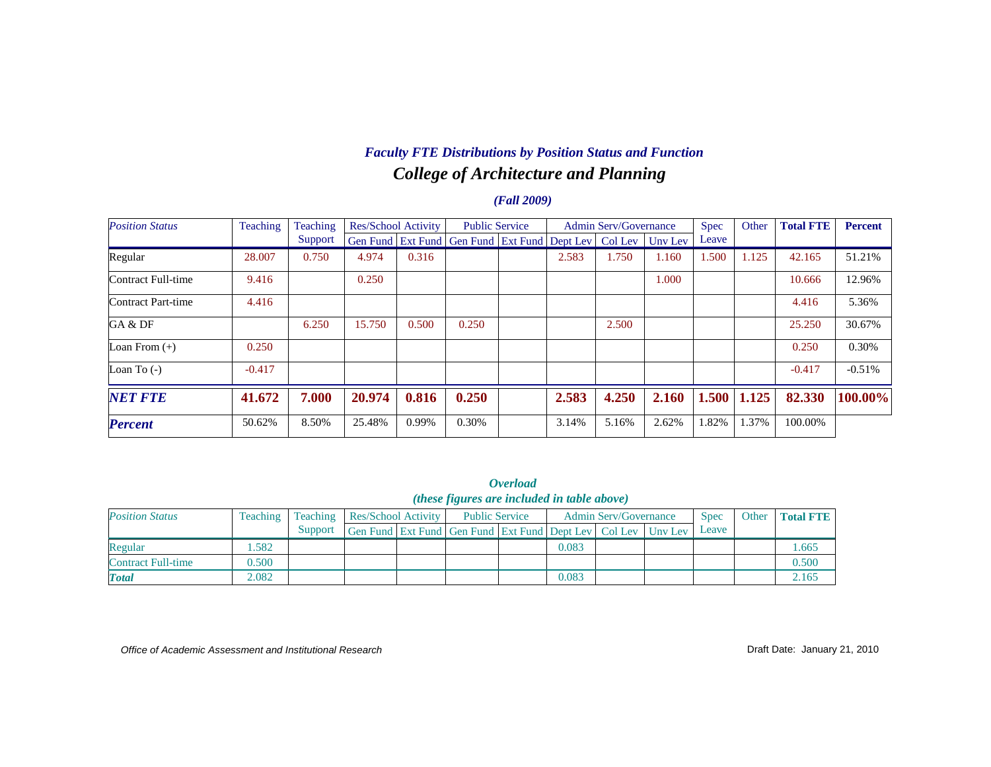## *College of Architecture and Planning Faculty FTE Distributions by Position Status and Function*

### *(Fall 2009)*

| <b>Position Status</b> | Teaching | Teaching |        | <b>Res/School Activity</b> | <b>Public Service</b>                                |       | <b>Admin Serv/Governance</b> |         | <b>Spec</b> | Other | <b>Total FTE</b> | <b>Percent</b> |
|------------------------|----------|----------|--------|----------------------------|------------------------------------------------------|-------|------------------------------|---------|-------------|-------|------------------|----------------|
|                        |          | Support  |        |                            | Gen Fund   Ext Fund   Gen Fund   Ext Fund   Dept Lev |       | Col Lev                      | Uny Lev | Leave       |       |                  |                |
| Regular                | 28.007   | 0.750    | 4.974  | 0.316                      |                                                      | 2.583 | 1.750                        | 1.160   | 1.500       | 1.125 | 42.165           | 51.21%         |
| Contract Full-time     | 9.416    |          | 0.250  |                            |                                                      |       |                              | 1.000   |             |       | 10.666           | 12.96%         |
| Contract Part-time     | 4.416    |          |        |                            |                                                      |       |                              |         |             |       | 4.416            | 5.36%          |
| GA & DF                |          | 6.250    | 15.750 | 0.500                      | 0.250                                                |       | 2.500                        |         |             |       | 25.250           | 30.67%         |
| Loan From $(+)$        | 0.250    |          |        |                            |                                                      |       |                              |         |             |       | 0.250            | 0.30%          |
| Loan To $(-)$          | $-0.417$ |          |        |                            |                                                      |       |                              |         |             |       | $-0.417$         | $-0.51%$       |
| <b>NET FTE</b>         | 41.672   | 7.000    | 20.974 | 0.816                      | 0.250                                                | 2.583 | 4.250                        | 2.160   | 1.500       | 1.125 | 82.330           | 100.00%        |
| <b>Percent</b>         | 50.62%   | 8.50%    | 25.48% | 0.99%                      | 0.30%                                                | 3.14% | 5.16%                        | 2.62%   | 1.82%       | 1.37% | 100.00%          |                |

*Overload (these figures are included in table above)*

| <b>Position Status</b> | Teaching | <b>Teaching</b> | <b>Res/School Activity</b>                                             |  | <b>Public Service</b> |       | <b>Admin Serv/Governance</b> | <b>Spec</b> | Other | <b>Total FTE</b> |
|------------------------|----------|-----------------|------------------------------------------------------------------------|--|-----------------------|-------|------------------------------|-------------|-------|------------------|
|                        |          | Support         | Gen Fund Ext Fund   Gen Fund   Ext Fund   Dept Lev   Col Lev   Unv Lev |  |                       |       |                              | Leave       |       |                  |
| Regular                | .582     |                 |                                                                        |  |                       | 0.083 |                              |             |       | .665             |
| Contract Full-time     | 0.500    |                 |                                                                        |  |                       |       |                              |             |       | 0.500            |
| <b>Total</b>           | 2.082    |                 |                                                                        |  |                       | 0.083 |                              |             |       | 2.165            |

*Office of Academic Assessment and Institutional Research*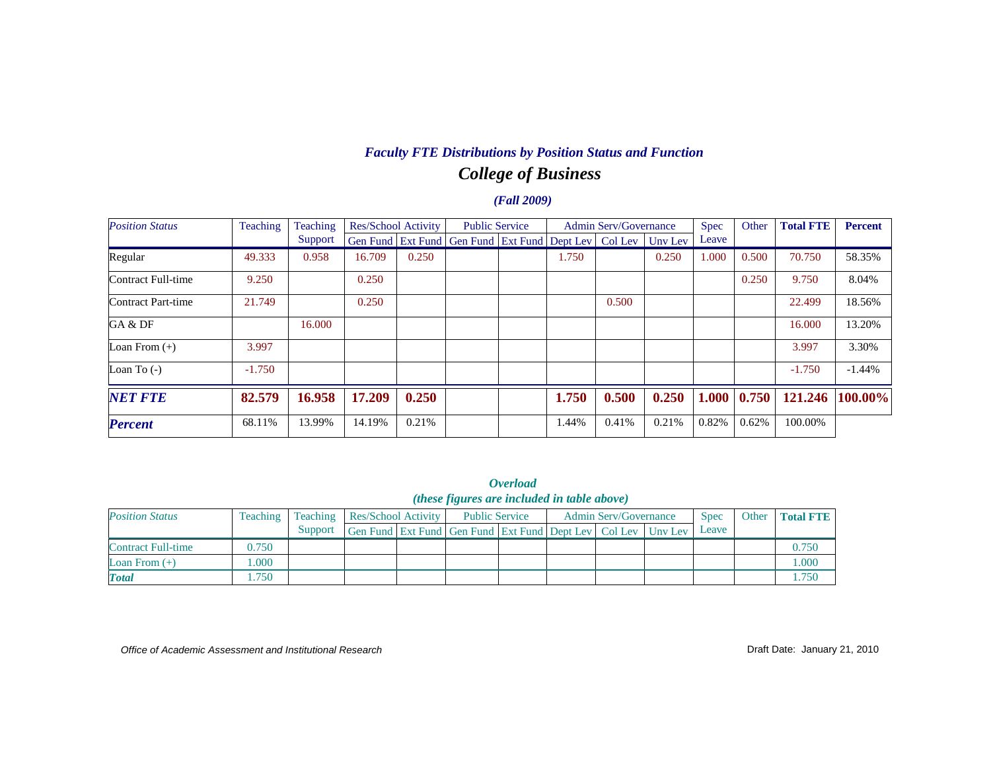## *College of Business Faculty FTE Distributions by Position Status and Function*

#### *(Fall 2009)*

| <b>Position Status</b> | Teaching | Teaching | Res/School Activity |       | <b>Public Service</b>                                          |       | <b>Admin Serv/Governance</b> |         | <b>Spec</b> | Other | <b>Total FTE</b> | <b>Percent</b> |
|------------------------|----------|----------|---------------------|-------|----------------------------------------------------------------|-------|------------------------------|---------|-------------|-------|------------------|----------------|
|                        |          | Support  |                     |       | Gen Fund   Ext Fund   Gen Fund   Ext Fund   Dept Lev   Col Lev |       |                              | Uny Lev | Leave       |       |                  |                |
| Regular                | 49.333   | 0.958    | 16.709              | 0.250 |                                                                | 1.750 |                              | 0.250   | 1.000       | 0.500 | 70.750           | 58.35%         |
| Contract Full-time     | 9.250    |          | 0.250               |       |                                                                |       |                              |         |             | 0.250 | 9.750            | 8.04%          |
| Contract Part-time     | 21.749   |          | 0.250               |       |                                                                |       | 0.500                        |         |             |       | 22.499           | 18.56%         |
| GA & DF                |          | 16.000   |                     |       |                                                                |       |                              |         |             |       | 16.000           | 13.20%         |
| Loan From $(+)$        | 3.997    |          |                     |       |                                                                |       |                              |         |             |       | 3.997            | 3.30%          |
| Loan To $(-)$          | $-1.750$ |          |                     |       |                                                                |       |                              |         |             |       | $-1.750$         | $-1.44%$       |
| <b>NET FTE</b>         | 82.579   | 16.958   | 17.209              | 0.250 |                                                                | 1.750 | 0.500                        | 0.250   | 1.000       | 0.750 | 121.246          | $100.00\%$     |
| <b>Percent</b>         | 68.11%   | 13.99%   | 14.19%              | 0.21% |                                                                | 1.44% | 0.41%                        | 0.21%   | 0.82%       | 0.62% | 100.00%          |                |

*Overload (these figures are included in table above)*

| <b>Position Status</b> | Teaching |         | <b>Teaching Res/School Activity</b>                                      |  | <b>Public Service</b> |  | <b>Admin Serv/Governance</b> | <b>Spec</b> | Other | <b>Total FTE</b> |
|------------------------|----------|---------|--------------------------------------------------------------------------|--|-----------------------|--|------------------------------|-------------|-------|------------------|
|                        |          | Support | Gen Fund   Ext Fund   Gen Fund   Ext Fund   Dept Lev   Col Lev   Unv Lev |  |                       |  |                              | Leave       |       |                  |
| Contract Full-time     | 0.750    |         |                                                                          |  |                       |  |                              |             |       | 0.750            |
| Loan From $(+)$        | .000     |         |                                                                          |  |                       |  |                              |             |       | 000.             |
| <b>Total</b>           | .750     |         |                                                                          |  |                       |  |                              |             |       | . . 750          |

*Office of Academic Assessment and Institutional Research*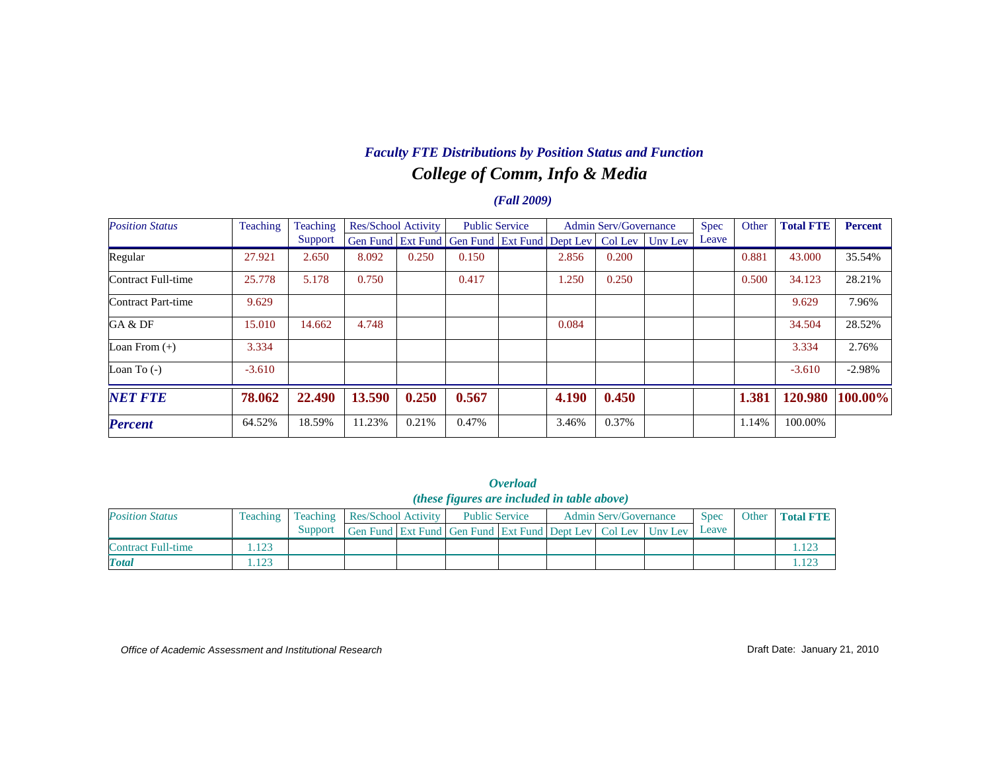### *College of Comm, Info & Media Faculty FTE Distributions by Position Status and Function*

### *(Fall 2009)*

| <b>Position Status</b> | Teaching | Teaching | <b>Res/School Activity</b> |       | <b>Public Service</b>                                |       | <b>Admin Serv/Governance</b> |                 | <b>Spec</b> | Other | <b>Total FTE</b> | <b>Percent</b> |
|------------------------|----------|----------|----------------------------|-------|------------------------------------------------------|-------|------------------------------|-----------------|-------------|-------|------------------|----------------|
|                        |          | Support  |                            |       | Gen Fund   Ext Fund   Gen Fund   Ext Fund   Dept Lev |       |                              | Col Lev Uny Lev | Leave       |       |                  |                |
| Regular                | 27.921   | 2.650    | 8.092                      | 0.250 | 0.150                                                | 2.856 | 0.200                        |                 |             | 0.881 | 43,000           | 35.54%         |
| Contract Full-time     | 25.778   | 5.178    | 0.750                      |       | 0.417                                                | 1.250 | 0.250                        |                 |             | 0.500 | 34.123           | 28.21%         |
| Contract Part-time     | 9.629    |          |                            |       |                                                      |       |                              |                 |             |       | 9.629            | 7.96%          |
| GA & DF                | 15.010   | 14.662   | 4.748                      |       |                                                      | 0.084 |                              |                 |             |       | 34.504           | 28.52%         |
| Loan From $(+)$        | 3.334    |          |                            |       |                                                      |       |                              |                 |             |       | 3.334            | 2.76%          |
| Loan To $(-)$          | $-3.610$ |          |                            |       |                                                      |       |                              |                 |             |       | $-3.610$         | $-2.98%$       |
| <b>NET FTE</b>         | 78.062   | 22.490   | 13.590                     | 0.250 | 0.567                                                | 4.190 | 0.450                        |                 |             | 1.381 | 120.980          | 100.00%        |
| <b>Percent</b>         | 64.52%   | 18.59%   | 11.23%                     | 0.21% | 0.47%                                                | 3.46% | 0.37%                        |                 |             | 1.14% | 100.00%          |                |

*Overload (these figures are included in table above)*

| <b>Position Status</b> | Teaching | Teaching . |                                                                  | <b>Res/School Activity</b> |  | <b>Public Service</b> | <b>Admin Serv/Governance</b> | <b>Spec</b> | Other | <b>Total FTE</b> |
|------------------------|----------|------------|------------------------------------------------------------------|----------------------------|--|-----------------------|------------------------------|-------------|-------|------------------|
|                        |          | Support    | Gen Fund Ext Fund Gen Fund Ext Fund Dept Lev   Col Lev   Unv Lev |                            |  |                       |                              | Leave       |       |                  |
| Contract Full-time     | .123     |            |                                                                  |                            |  |                       |                              |             |       |                  |
| <b>T</b> otal          | 1.123    |            |                                                                  |                            |  |                       |                              |             |       |                  |

*Office of Academic Assessment and Institutional Research*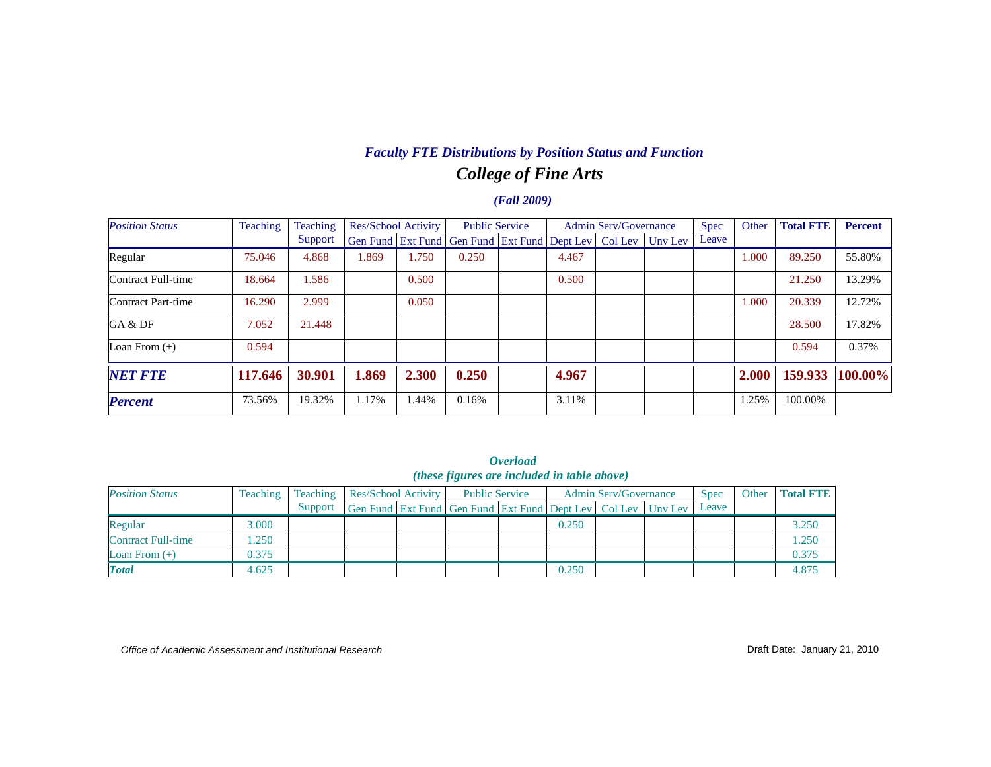# *College of Fine Arts Faculty FTE Distributions by Position Status and Function*

### *(Fall 2009)*

| <b>Position Status</b> | Teaching | Teaching | Res/School Activity |       | <b>Public Service</b>                                |       | <b>Admin Serv/Governance</b> |                 | Spec  | Other | <b>Total FTE</b> | <b>Percent</b> |
|------------------------|----------|----------|---------------------|-------|------------------------------------------------------|-------|------------------------------|-----------------|-------|-------|------------------|----------------|
|                        |          | Support  |                     |       | Gen Fund   Ext Fund   Gen Fund   Ext Fund   Dept Lev |       |                              | Col Lev Uny Lev | Leave |       |                  |                |
| Regular                | 75.046   | 4.868    | 1.869               | 1.750 | 0.250                                                | 4.467 |                              |                 |       | 1.000 | 89.250           | 55.80%         |
| Contract Full-time     | 18.664   | 1.586    |                     | 0.500 |                                                      | 0.500 |                              |                 |       |       | 21.250           | 13.29%         |
| Contract Part-time     | 16.290   | 2.999    |                     | 0.050 |                                                      |       |                              |                 |       | 1.000 | 20.339           | 12.72%         |
| GA & DF                | 7.052    | 21.448   |                     |       |                                                      |       |                              |                 |       |       | 28.500           | 17.82%         |
| Loan From $(+)$        | 0.594    |          |                     |       |                                                      |       |                              |                 |       |       | 0.594            | 0.37%          |
| <b>NET FTE</b>         | 117.646  | 30.901   | 1.869               | 2.300 | 0.250                                                | 4.967 |                              |                 |       | 2.000 | 159.933          | 100.00%        |
| <b>Percent</b>         | 73.56%   | 19.32%   | 1.17%               | 1.44% | 0.16%                                                | 3.11% |                              |                 |       | 1.25% | 100.00%          |                |

|  | <i><b>Overload</b></i>                               |  |
|--|------------------------------------------------------|--|
|  | ( <i>these figures are included in table above</i> ) |  |
|  |                                                      |  |

| <b>Position Status</b>    | Teaching | Teaching | Res/School Activity                                          | <b>Public Service</b> |       | Admin Serv/Governance | <b>Spec</b> | Other | <b>Total FTE</b> |
|---------------------------|----------|----------|--------------------------------------------------------------|-----------------------|-------|-----------------------|-------------|-------|------------------|
|                           |          | Support  | Gen Fund Ext Fund Gen Fund Ext Fund Dept Lev Col Lev Unv Lev |                       |       |                       | Leave       |       |                  |
| Regular                   | 3.000    |          |                                                              |                       | 0.250 |                       |             |       | 3.250            |
| <b>Contract Full-time</b> | .250     |          |                                                              |                       |       |                       |             |       | 1.250            |
| Loan From $(+)$           | 0.375    |          |                                                              |                       |       |                       |             |       | 0.375            |
| <b>Total</b>              | 4.625    |          |                                                              |                       | 0.250 |                       |             |       | 4.875            |

*Office of Academic Assessment and Institutional Research*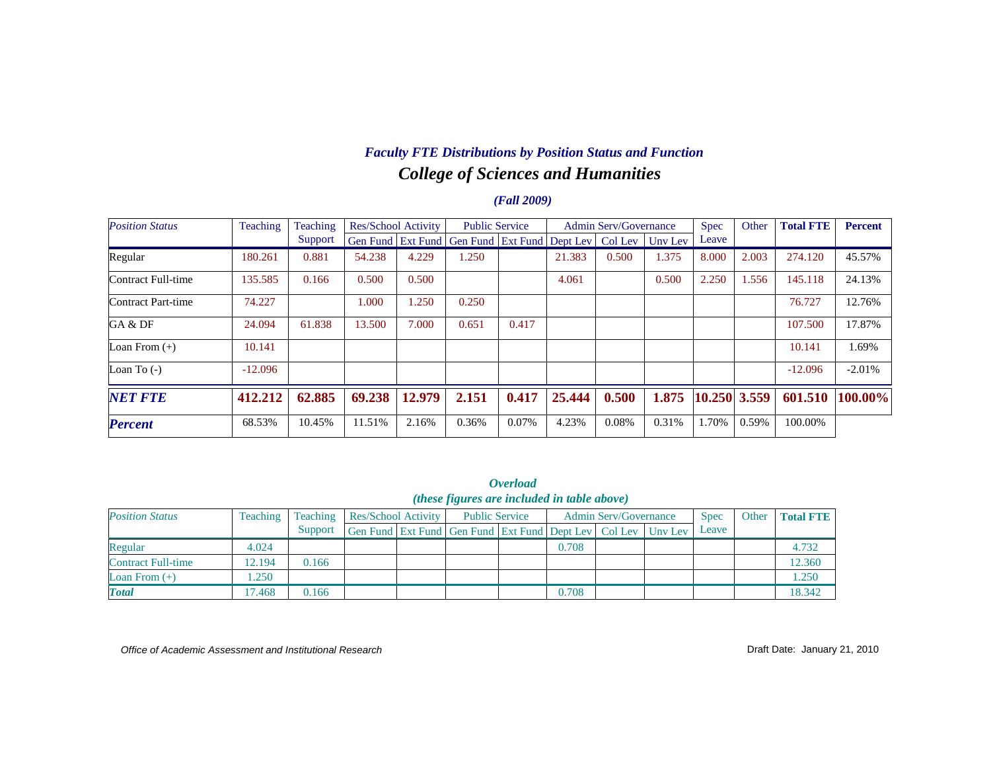### *College of Sciences and Humanities Faculty FTE Distributions by Position Status and Function*

### *(Fall 2009)*

| <b>Position Status</b> | Teaching  | Teaching | <b>Res/School Activity</b> |        | <b>Public Service</b>                                |       |        | <b>Admin Serv/Governance</b> |         | <b>Spec</b>  | Other | <b>Total FTE</b> | <b>Percent</b> |
|------------------------|-----------|----------|----------------------------|--------|------------------------------------------------------|-------|--------|------------------------------|---------|--------------|-------|------------------|----------------|
|                        |           | Support  |                            |        | Gen Fund   Ext Fund   Gen Fund   Ext Fund   Dept Lev |       |        | Col Lev                      | Uny Lev | Leave        |       |                  |                |
| Regular                | 180.261   | 0.881    | 54.238                     | 4.229  | 1.250                                                |       | 21.383 | 0.500                        | 1.375   | 8.000        | 2.003 | 274.120          | 45.57%         |
| Contract Full-time     | 135.585   | 0.166    | 0.500                      | 0.500  |                                                      |       | 4.061  |                              | 0.500   | 2.250        | 1.556 | 145.118          | 24.13%         |
| Contract Part-time     | 74.227    |          | 1.000                      | 1.250  | 0.250                                                |       |        |                              |         |              |       | 76.727           | 12.76%         |
| GA & DF                | 24.094    | 61.838   | 13.500                     | 7.000  | 0.651                                                | 0.417 |        |                              |         |              |       | 107.500          | 17.87%         |
| Loan From $(+)$        | 10.141    |          |                            |        |                                                      |       |        |                              |         |              |       | 10.141           | 1.69%          |
| Loan To $(-)$          | $-12.096$ |          |                            |        |                                                      |       |        |                              |         |              |       | $-12.096$        | $-2.01%$       |
| <b>NET FTE</b>         | 412.212   | 62.885   | 69.238                     | 12.979 | 2.151                                                | 0.417 | 25.444 | 0.500                        | 1.875   | 10.250 3.559 |       | 601.510          | 100.00%        |
| <b>Percent</b>         | 68.53%    | 10.45%   | 11.51%                     | 2.16%  | 0.36%                                                | 0.07% | 4.23%  | 0.08%                        | 0.31%   | 1.70%        | 0.59% | 100.00%          |                |

*Overload (these figures are included in table above)*

| <b>Position Status</b> | Teaching | Teaching | <b>Res/School Activity</b> |  | <b>Public Service</b>                                        |  |       | <b>Admin Serv/Governance</b> | <b>Spec</b> | Other | <b>Total FTE</b> |
|------------------------|----------|----------|----------------------------|--|--------------------------------------------------------------|--|-------|------------------------------|-------------|-------|------------------|
|                        |          | Support  |                            |  | Gen Fund Ext Fund Gen Fund Ext Fund Dept Lev Col Lev Unv Lev |  |       |                              | Leave       |       |                  |
| Regular                | 4.024    |          |                            |  |                                                              |  | 0.708 |                              |             |       | 4.732            |
| Contract Full-time     | 12.194   | 0.166    |                            |  |                                                              |  |       |                              |             |       | 12.360           |
| Loan From $(+)$        | .250     |          |                            |  |                                                              |  |       |                              |             |       | 1.250            |
| <b>Total</b>           | 7.468    | 0.166    |                            |  |                                                              |  | 0.708 |                              |             |       | 18.342           |

*Office of Academic Assessment and Institutional Research*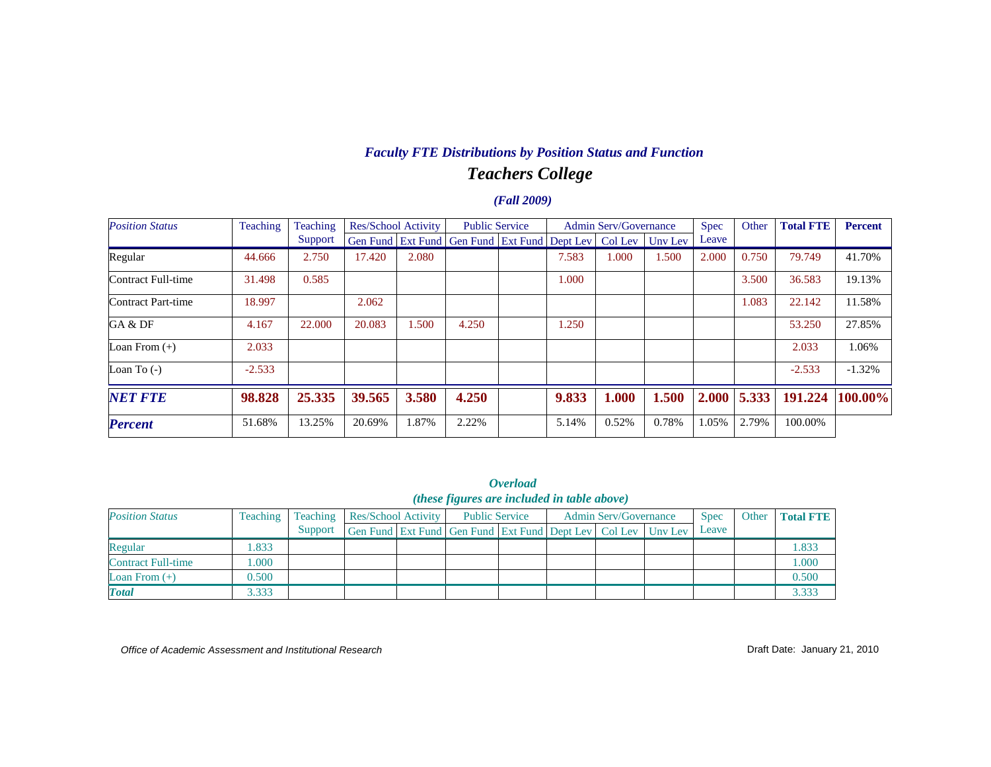### *Teachers College Faculty FTE Distributions by Position Status and Function*

### *(Fall 2009)*

| <b>Position Status</b> | Teaching | Teaching | Res/School Activity |       | <b>Public Service</b>                                |  | <b>Admin Serv/Governance</b> |         |         | <b>Spec</b> | Other | <b>Total FTE</b> | <b>Percent</b> |
|------------------------|----------|----------|---------------------|-------|------------------------------------------------------|--|------------------------------|---------|---------|-------------|-------|------------------|----------------|
|                        |          | Support  |                     |       | Gen Fund   Ext Fund   Gen Fund   Ext Fund   Dept Lev |  |                              | Col Lev | Uny Lev | Leave       |       |                  |                |
| Regular                | 44.666   | 2.750    | 17.420              | 2.080 |                                                      |  | 7.583                        | 1.000   | 1.500   | 2.000       | 0.750 | 79.749           | 41.70%         |
| Contract Full-time     | 31.498   | 0.585    |                     |       |                                                      |  | 1.000                        |         |         |             | 3.500 | 36.583           | 19.13%         |
| Contract Part-time     | 18.997   |          | 2.062               |       |                                                      |  |                              |         |         |             | 1.083 | 22.142           | 11.58%         |
| GA & DF                | 4.167    | 22,000   | 20.083              | 1.500 | 4.250                                                |  | 1.250                        |         |         |             |       | 53.250           | 27.85%         |
| Loan From $(+)$        | 2.033    |          |                     |       |                                                      |  |                              |         |         |             |       | 2.033            | 1.06%          |
| Loan To $(-)$          | $-2.533$ |          |                     |       |                                                      |  |                              |         |         |             |       | $-2.533$         | $-1.32%$       |
| <b>NET FTE</b>         | 98.828   | 25.335   | 39.565              | 3.580 | 4.250                                                |  | 9.833                        | 1.000   | 1.500   | 2.000       | 5.333 | 191.224          | 100.00%        |
| <b>Percent</b>         | 51.68%   | 13.25%   | 20.69%              | 1.87% | 2.22%                                                |  | 5.14%                        | 0.52%   | 0.78%   | 1.05%       | 2.79% | 100.00%          |                |

*Overload (these figures are included in table above)*

| <b>Position Status</b> | Teaching | Teaching | <b>Res/School Activity</b> |  |                                                              | <b>Public Service</b> | <b>Admin Serv/Governance</b> | <b>Spec</b> | Other | <b>Total FTE</b> |
|------------------------|----------|----------|----------------------------|--|--------------------------------------------------------------|-----------------------|------------------------------|-------------|-------|------------------|
|                        |          | Support  |                            |  | Gen Fund Ext Fund Gen Fund Ext Fund Dept Lev Col Lev Unv Lev |                       |                              | Leave       |       |                  |
| Regular                | .833     |          |                            |  |                                                              |                       |                              |             |       | 1.833            |
| Contract Full-time     | .000     |          |                            |  |                                                              |                       |                              |             |       | 000.1            |
| Loan From $(+)$        | 0.500    |          |                            |  |                                                              |                       |                              |             |       | 0.500            |
| <b>Total</b>           | 3.333    |          |                            |  |                                                              |                       |                              |             |       | 3.333            |

*Office of Academic Assessment and Institutional Research*